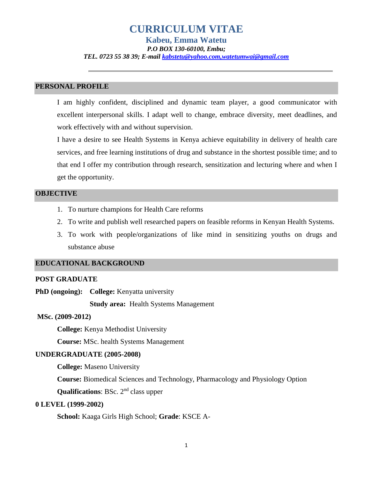# **CURRICULUM VITAE**

**Kabeu, Emma Watetu** *P.O BOX 130-60100, Embu; TEL. 0723 55 38 39; E-mail [kabstetu@yahoo.com,watetumwai@gmail.com](mailto:kabstetu@yahoo.com,watetumwai@gmail.com)*

## **PERSONAL PROFILE**

I am highly confident, disciplined and dynamic team player, a good communicator with excellent interpersonal skills. I adapt well to change, embrace diversity, meet deadlines, and work effectively with and without supervision.

I have a desire to see Health Systems in Kenya achieve equitability in delivery of health care services, and free learning institutions of drug and substance in the shortest possible time; and to that end I offer my contribution through research, sensitization and lecturing where and when I get the opportunity.

#### **OBJECTIVE**

- 1. To nurture champions for Health Care reforms
- 2. To write and publish well researched papers on feasible reforms in Kenyan Health Systems.
- 3. To work with people/organizations of like mind in sensitizing youths on drugs and substance abuse

#### **EDUCATIONAL BACKGROUND**

#### **POST GRADUATE**

**PhD (ongoing):** College: Kenyatta university

**Study area:** Health Systems Management

#### **MSc. (2009-2012)**

**College:** Kenya Methodist University

**Course:** MSc. health Systems Management

#### **UNDERGRADUATE (2005-2008)**

**College:** Maseno University

**Course:** Biomedical Sciences and Technology, Pharmacology and Physiology Option

**Qualifications**: BSc. 2<sup>nd</sup> class upper

## **0 LEVEL (1999-2002)**

**School:** Kaaga Girls High School; **Grade**: KSCE A-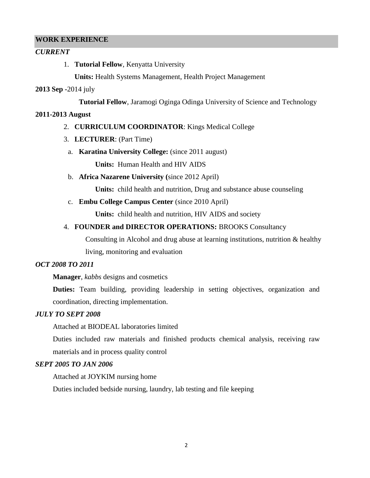#### **WORK EXPERIENCE**

## *CURRENT*

1. **Tutorial Fellow**, Kenyatta University

**Units:** Health Systems Management, Health Project Management

## **2013 Sep -**2014 july

**Tutorial Fellow**, Jaramogi Oginga Odinga University of Science and Technology

#### **2011-2013 August**

- 2. **CURRICULUM COORDINATOR**: Kings Medical College
- 3. **LECTURER**: (Part Time)
- a. **Karatina University College:** (since 2011 august)

**Units:** Human Health and HIV AIDS

b. **Africa Nazarene University (**since 2012 April)

**Units:** child health and nutrition, Drug and substance abuse counseling

c. **Embu College Campus Center** (since 2010 April)

**Units:** child health and nutrition, HIV AIDS and society

## 4. **FOUNDER and DIRECTOR OPERATIONS:** BROOKS Consultancy

Consulting in Alcohol and drug abuse at learning institutions, nutrition & healthy

living, monitoring and evaluation

#### *OCT 2008 TO 2011*

**Manager**, *kabbs* designs and cosmetics

**Duties:** Team building, providing leadership in setting objectives, organization and coordination, directing implementation.

## *JULY TO SEPT 2008*

Attached at BIODEAL laboratories limited

Duties included raw materials and finished products chemical analysis, receiving raw materials and in process quality control

## *SEPT 2005 TO JAN 2006*

Attached at JOYKIM nursing home

Duties included bedside nursing, laundry, lab testing and file keeping